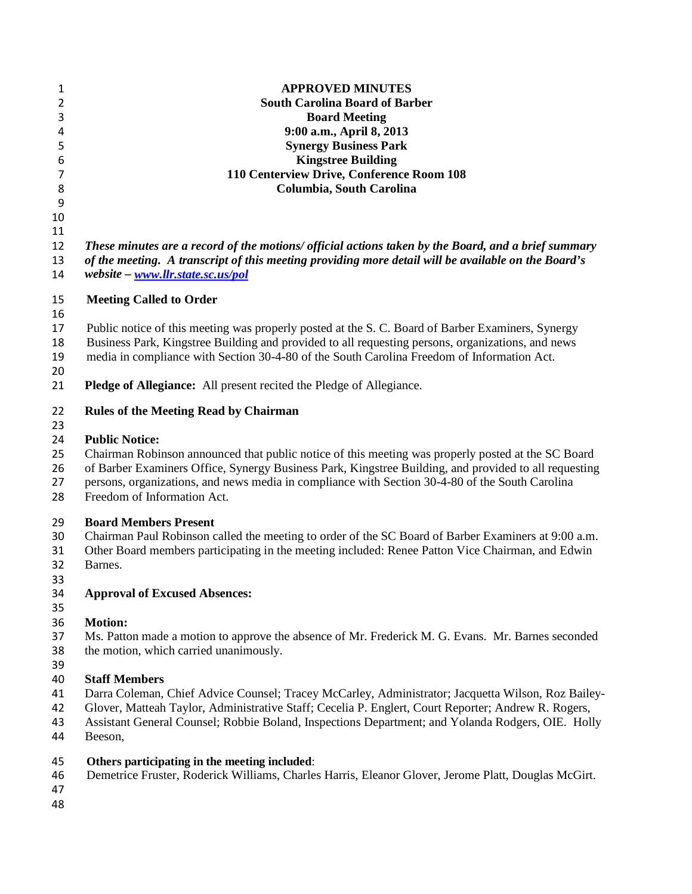| $\mathbf 1$    | <b>APPROVED MINUTES</b>                                                                               |
|----------------|-------------------------------------------------------------------------------------------------------|
| $\overline{2}$ | <b>South Carolina Board of Barber</b>                                                                 |
| 3              | <b>Board Meeting</b>                                                                                  |
| 4              | 9:00 a.m., April 8, 2013                                                                              |
| 5              | <b>Synergy Business Park</b>                                                                          |
| 6              | <b>Kingstree Building</b>                                                                             |
| $\overline{7}$ | 110 Centerview Drive, Conference Room 108                                                             |
| 8              | Columbia, South Carolina                                                                              |
| 9              |                                                                                                       |
| 10             |                                                                                                       |
| 11             |                                                                                                       |
| 12             | These minutes are a record of the motions/ official actions taken by the Board, and a brief summary   |
| 13             | of the meeting. A transcript of this meeting providing more detail will be available on the Board's   |
| 14             | website - www.llr.state.sc.us/pol                                                                     |
| 15             | <b>Meeting Called to Order</b>                                                                        |
| 16             |                                                                                                       |
| 17             | Public notice of this meeting was properly posted at the S. C. Board of Barber Examiners, Synergy     |
| 18             | Business Park, Kingstree Building and provided to all requesting persons, organizations, and news     |
| 19             | media in compliance with Section 30-4-80 of the South Carolina Freedom of Information Act.            |
| 20             |                                                                                                       |
| 21             | <b>Pledge of Allegiance:</b> All present recited the Pledge of Allegiance.                            |
|                |                                                                                                       |
| 22             | <b>Rules of the Meeting Read by Chairman</b>                                                          |
| 23             |                                                                                                       |
| 24             | <b>Public Notice:</b>                                                                                 |
| 25             | Chairman Robinson announced that public notice of this meeting was properly posted at the SC Board    |
| 26             | of Barber Examiners Office, Synergy Business Park, Kingstree Building, and provided to all requesting |
| 27             | persons, organizations, and news media in compliance with Section 30-4-80 of the South Carolina       |
| 28             | Freedom of Information Act.                                                                           |
| 29             | <b>Board Members Present</b>                                                                          |
| 30             | Chairman Paul Robinson called the meeting to order of the SC Board of Barber Examiners at 9:00 a.m.   |
| 31             | Other Board members participating in the meeting included: Renee Patton Vice Chairman, and Edwin      |
| 32             | Barnes.                                                                                               |
| 33             |                                                                                                       |
| 34             | <b>Approval of Excused Absences:</b>                                                                  |
| 35             |                                                                                                       |
| 36             | <b>Motion:</b>                                                                                        |
| 37             | Ms. Patton made a motion to approve the absence of Mr. Frederick M. G. Evans. Mr. Barnes seconded     |
| 38             | the motion, which carried unanimously.                                                                |
| 39             |                                                                                                       |
| 40             | <b>Staff Members</b>                                                                                  |
| 41             | Darra Coleman, Chief Advice Counsel; Tracey McCarley, Administrator; Jacquetta Wilson, Roz Bailey-    |
| 42             | Glover, Matteah Taylor, Administrative Staff; Cecelia P. Englert, Court Reporter; Andrew R. Rogers,   |
| 43             | Assistant General Counsel; Robbie Boland, Inspections Department; and Yolanda Rodgers, OIE. Holly     |
| 44             | Beeson,                                                                                               |
| 45             | Others participating in the meeting included:                                                         |
| 46             | Demetrice Fruster, Roderick Williams, Charles Harris, Eleanor Glover, Jerome Platt, Douglas McGirt.   |
| 47             |                                                                                                       |
| 48             |                                                                                                       |
|                |                                                                                                       |
|                |                                                                                                       |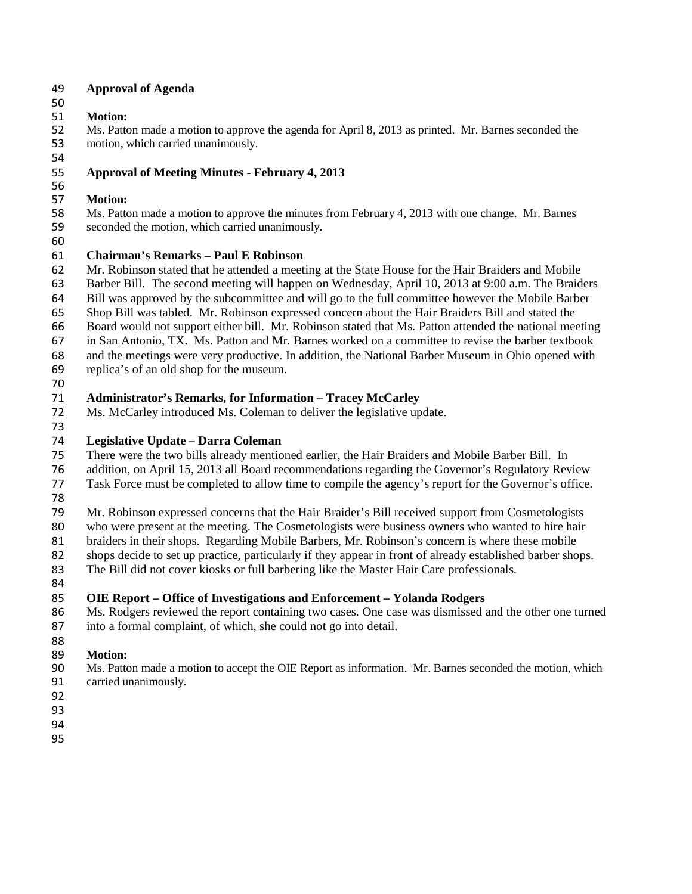### **Approval of Agenda**

### **Motion:**

 Ms. Patton made a motion to approve the agenda for April 8, 2013 as printed. Mr. Barnes seconded the motion, which carried unanimously.

## **Approval of Meeting Minutes - February 4, 2013**

#### **Motion:**

- Ms. Patton made a motion to approve the minutes from February 4, 2013 with one change. Mr. Barnes
- seconded the motion, which carried unanimously.
- 

## **Chairman's Remarks – Paul E Robinson**

- Mr. Robinson stated that he attended a meeting at the State House for the Hair Braiders and Mobile
- Barber Bill. The second meeting will happen on Wednesday, April 10, 2013 at 9:00 a.m. The Braiders
- Bill was approved by the subcommittee and will go to the full committee however the Mobile Barber
- Shop Bill was tabled. Mr. Robinson expressed concern about the Hair Braiders Bill and stated the
- Board would not support either bill. Mr. Robinson stated that Ms. Patton attended the national meeting
- in San Antonio, TX. Ms. Patton and Mr. Barnes worked on a committee to revise the barber textbook
- and the meetings were very productive. In addition, the National Barber Museum in Ohio opened with replica's of an old shop for the museum.
- 

## **Administrator's Remarks, for Information – Tracey McCarley**

Ms. McCarley introduced Ms. Coleman to deliver the legislative update.

## **Legislative Update – Darra Coleman**

- There were the two bills already mentioned earlier, the Hair Braiders and Mobile Barber Bill. In
- addition, on April 15, 2013 all Board recommendations regarding the Governor's Regulatory Review
- Task Force must be completed to allow time to compile the agency's report for the Governor's office.
- 

Mr. Robinson expressed concerns that the Hair Braider's Bill received support from Cosmetologists

who were present at the meeting. The Cosmetologists were business owners who wanted to hire hair

braiders in their shops. Regarding Mobile Barbers, Mr. Robinson's concern is where these mobile

- shops decide to set up practice, particularly if they appear in front of already established barber shops.
- The Bill did not cover kiosks or full barbering like the Master Hair Care professionals.
- 

# **OIE Report – Office of Investigations and Enforcement – Yolanda Rodgers**

 Ms. Rodgers reviewed the report containing two cases. One case was dismissed and the other one turned into a formal complaint, of which, she could not go into detail.

#### Motion:

- Ms. Patton made a motion to accept the OIE Report as information. Mr. Barnes seconded the motion, which carried unanimously.
- 
-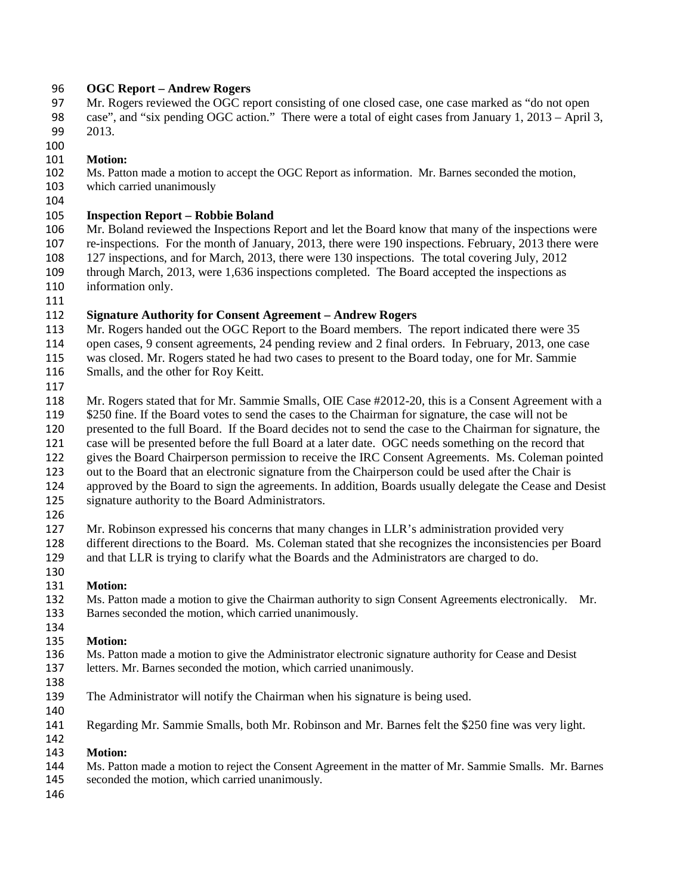### **OGC Report – Andrew Rogers**

 Mr. Rogers reviewed the OGC report consisting of one closed case, one case marked as "do not open case", and "six pending OGC action." There were a total of eight cases from January 1, 2013 – April 3, 2013.

### **Motion:**

102 Ms. Patton made a motion to accept the OGC Report as information. Mr. Barnes seconded the motion, which carried unanimously

- which carried unanimously
- 

## **Inspection Report – Robbie Boland**

 Mr. Boland reviewed the Inspections Report and let the Board know that many of the inspections were re-inspections. For the month of January, 2013, there were 190 inspections. February, 2013 there were 127 inspections, and for March, 2013, there were 130 inspections. The total covering July, 2012 through March, 2013, were 1,636 inspections completed. The Board accepted the inspections as information only.

## **Signature Authority for Consent Agreement – Andrew Rogers**

- 113 Mr. Rogers handed out the OGC Report to the Board members. The report indicated there were 35
- open cases, 9 consent agreements, 24 pending review and 2 final orders. In February, 2013, one case

was closed. Mr. Rogers stated he had two cases to present to the Board today, one for Mr. Sammie

- Smalls, and the other for Roy Keitt.
- 

Mr. Rogers stated that for Mr. Sammie Smalls, OIE Case #2012-20, this is a Consent Agreement with a

 \$250 fine. If the Board votes to send the cases to the Chairman for signature, the case will not be presented to the full Board. If the Board decides not to send the case to the Chairman for signature, the

- case will be presented before the full Board at a later date. OGC needs something on the record that
- gives the Board Chairperson permission to receive the IRC Consent Agreements. Ms. Coleman pointed
- out to the Board that an electronic signature from the Chairperson could be used after the Chair is
- approved by the Board to sign the agreements. In addition, Boards usually delegate the Cease and Desist
- signature authority to the Board Administrators.
- 

Mr. Robinson expressed his concerns that many changes in LLR's administration provided very

 different directions to the Board. Ms. Coleman stated that she recognizes the inconsistencies per Board and that LLR is trying to clarify what the Boards and the Administrators are charged to do.

## **Motion:**

 Ms. Patton made a motion to give the Chairman authority to sign Consent Agreements electronically. Mr. Barnes seconded the motion, which carried unanimously.

#### **Motion:**

 Ms. Patton made a motion to give the Administrator electronic signature authority for Cease and Desist letters. Mr. Barnes seconded the motion, which carried unanimously.

- 
- The Administrator will notify the Chairman when his signature is being used.
- 

Regarding Mr. Sammie Smalls, both Mr. Robinson and Mr. Barnes felt the \$250 fine was very light.

#### **Motion:**

- Ms. Patton made a motion to reject the Consent Agreement in the matter of Mr. Sammie Smalls. Mr. Barnes
- seconded the motion, which carried unanimously.
-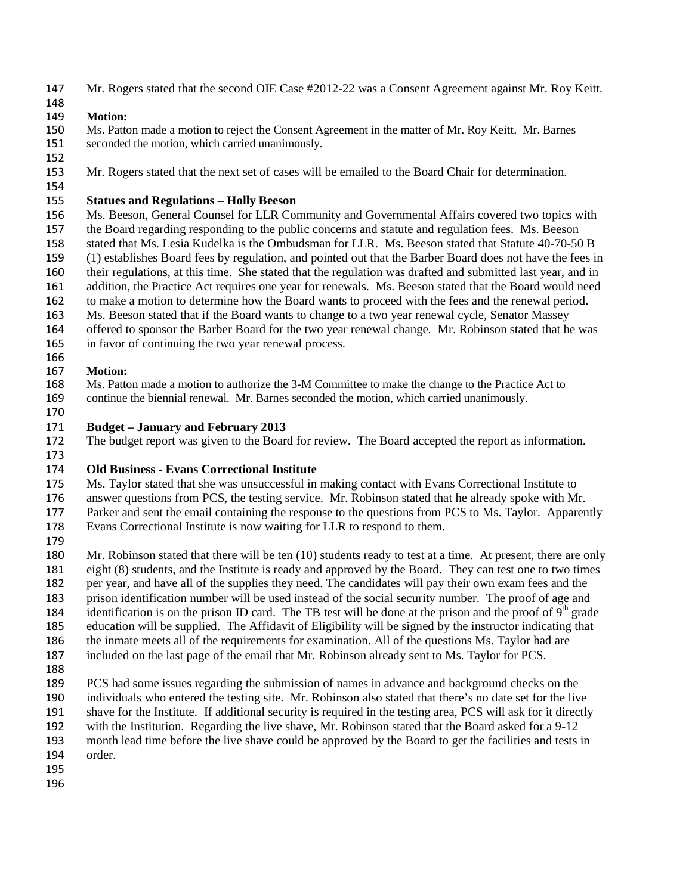- Mr. Rogers stated that the second OIE Case #2012-22 was a Consent Agreement against Mr. Roy Keitt.
- 

#### **Motion:**

- Ms. Patton made a motion to reject the Consent Agreement in the matter of Mr. Roy Keitt. Mr. Barnes seconded the motion, which carried unanimously.
- 

Mr. Rogers stated that the next set of cases will be emailed to the Board Chair for determination.

#### **Statues and Regulations – Holly Beeson**

- Ms. Beeson, General Counsel for LLR Community and Governmental Affairs covered two topics with the Board regarding responding to the public concerns and statute and regulation fees. Ms. Beeson stated that Ms. Lesia Kudelka is the Ombudsman for LLR. Ms. Beeson stated that Statute 40-70-50 B (1) establishes Board fees by regulation, and pointed out that the Barber Board does not have the fees in their regulations, at this time. She stated that the regulation was drafted and submitted last year, and in addition, the Practice Act requires one year for renewals. Ms. Beeson stated that the Board would need to make a motion to determine how the Board wants to proceed with the fees and the renewal period. Ms. Beeson stated that if the Board wants to change to a two year renewal cycle, Senator Massey offered to sponsor the Barber Board for the two year renewal change. Mr. Robinson stated that he was
- in favor of continuing the two year renewal process.

#### **Motion:**

- Ms. Patton made a motion to authorize the 3-M Committee to make the change to the Practice Act to continue the biennial renewal. Mr. Barnes seconded the motion, which carried unanimously.
- 

#### **Budget – January and February 2013**

 The budget report was given to the Board for review. The Board accepted the report as information. 

### **Old Business - Evans Correctional Institute**

- Ms. Taylor stated that she was unsuccessful in making contact with Evans Correctional Institute to
- answer questions from PCS, the testing service. Mr. Robinson stated that he already spoke with Mr.
- Parker and sent the email containing the response to the questions from PCS to Ms. Taylor. Apparently
- Evans Correctional Institute is now waiting for LLR to respond to them.
- 
- 180 Mr. Robinson stated that there will be ten (10) students ready to test at a time. At present, there are only eight (8) students, and the Institute is ready and approved by the Board. They can test one to two times
- per year, and have all of the supplies they need. The candidates will pay their own exam fees and the
- prison identification number will be used instead of the social security number. The proof of age and 184 identification is on the prison ID card. The TB test will be done at the prison and the proof of  $9<sup>th</sup>$  grade
- education will be supplied. The Affidavit of Eligibility will be signed by the instructor indicating that
- the inmate meets all of the requirements for examination. All of the questions Ms. Taylor had are
- included on the last page of the email that Mr. Robinson already sent to Ms. Taylor for PCS.
- 
- PCS had some issues regarding the submission of names in advance and background checks on the individuals who entered the testing site. Mr. Robinson also stated that there's no date set for the live shave for the Institute. If additional security is required in the testing area, PCS will ask for it directly
- with the Institution. Regarding the live shave, Mr. Robinson stated that the Board asked for a 9-12
- month lead time before the live shave could be approved by the Board to get the facilities and tests in
- order.
- 
-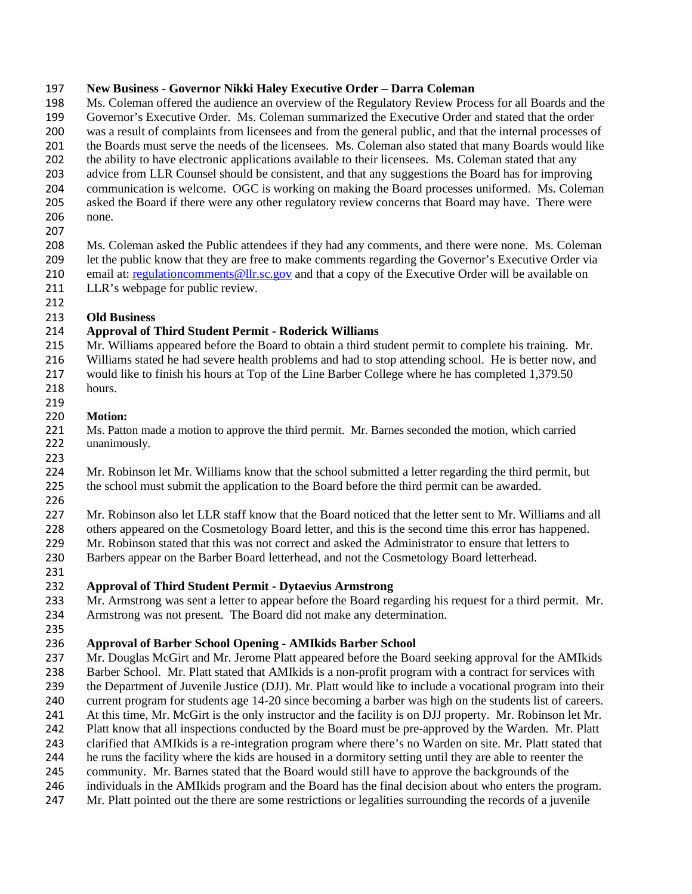### **New Business - Governor Nikki Haley Executive Order – Darra Coleman**

 Ms. Coleman offered the audience an overview of the Regulatory Review Process for all Boards and the Governor's Executive Order. Ms. Coleman summarized the Executive Order and stated that the order was a result of complaints from licensees and from the general public, and that the internal processes of 201 the Boards must serve the needs of the licensees. Ms. Coleman also stated that many Boards would like the ability to have electronic applications available to their licensees. Ms. Coleman stated that any advice from LLR Counsel should be consistent, and that any suggestions the Board has for improving communication is welcome. OGC is working on making the Board processes uniformed. Ms. Coleman asked the Board if there were any other regulatory review concerns that Board may have. There were none.

 Ms. Coleman asked the Public attendees if they had any comments, and there were none. Ms. Coleman let the public know that they are free to make comments regarding the Governor's Executive Order via 210 email at: regulation comments @llr.sc.gov and that a copy of the Executive Order will be available on

- 211 LLR's webpage for public review.
- 

## **Old Business**

## **Approval of Third Student Permit - Roderick Williams**

Mr. Williams appeared before the Board to obtain a third student permit to complete his training. Mr.

- Williams stated he had severe health problems and had to stop attending school. He is better now, and
- would like to finish his hours at Top of the Line Barber College where he has completed 1,379.50 hours.
- 
- **Motion:**

 Ms. Patton made a motion to approve the third permit. Mr. Barnes seconded the motion, which carried unanimously.

- Mr. Robinson let Mr. Williams know that the school submitted a letter regarding the third permit, but 225 the school must submit the application to the Board before the third permit can be awarded.
- 

Mr. Robinson also let LLR staff know that the Board noticed that the letter sent to Mr. Williams and all

others appeared on the Cosmetology Board letter, and this is the second time this error has happened.

 Mr. Robinson stated that this was not correct and asked the Administrator to ensure that letters to Barbers appear on the Barber Board letterhead, and not the Cosmetology Board letterhead.

# **Approval of Third Student Permit - Dytaevius Armstrong**

 Mr. Armstrong was sent a letter to appear before the Board regarding his request for a third permit. Mr. Armstrong was not present. The Board did not make any determination.

# **Approval of Barber School Opening - AMIkids Barber School**

 Mr. Douglas McGirt and Mr. Jerome Platt appeared before the Board seeking approval for the AMIkids Barber School. Mr. Platt stated that AMIkids is a non-profit program with a contract for services with the Department of Juvenile Justice (DJJ). Mr. Platt would like to include a vocational program into their current program for students age 14-20 since becoming a barber was high on the students list of careers. At this time, Mr. McGirt is the only instructor and the facility is on DJJ property. Mr. Robinson let Mr. Platt know that all inspections conducted by the Board must be pre-approved by the Warden. Mr. Platt clarified that AMIkids is a re-integration program where there's no Warden on site. Mr. Platt stated that he runs the facility where the kids are housed in a dormitory setting until they are able to reenter the

community. Mr. Barnes stated that the Board would still have to approve the backgrounds of the

- individuals in the AMIkids program and the Board has the final decision about who enters the program.
- Mr. Platt pointed out the there are some restrictions or legalities surrounding the records of a juvenile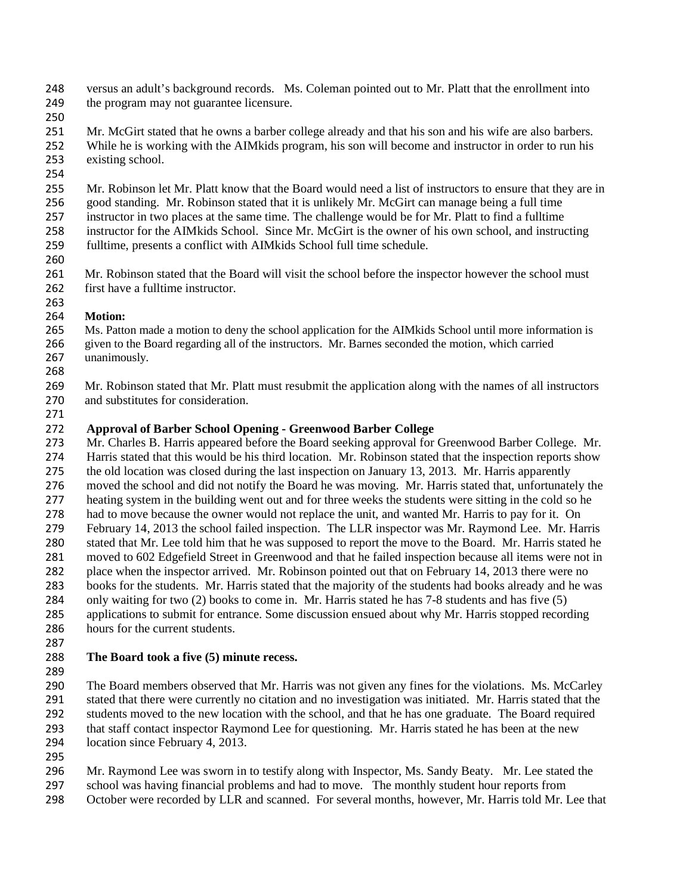- versus an adult's background records. Ms. Coleman pointed out to Mr. Platt that the enrollment into 249 the program may not guarantee licensure.
- 
- Mr. McGirt stated that he owns a barber college already and that his son and his wife are also barbers. While he is working with the AIMkids program, his son will become and instructor in order to run his existing school.
- 
- Mr. Robinson let Mr. Platt know that the Board would need a list of instructors to ensure that they are in
- good standing. Mr. Robinson stated that it is unlikely Mr. McGirt can manage being a full time
- instructor in two places at the same time. The challenge would be for Mr. Platt to find a fulltime instructor for the AIMkids School. Since Mr. McGirt is the owner of his own school, and instructing
- fulltime, presents a conflict with AIMkids School full time schedule.
- 
- 261 Mr. Robinson stated that the Board will visit the school before the inspector however the school must 262 first have a fulltime instructor.
- **Motion:**
- Ms. Patton made a motion to deny the school application for the AIMkids School until more information is
- given to the Board regarding all of the instructors. Mr. Barnes seconded the motion, which carried unanimously.
- 
- Mr. Robinson stated that Mr. Platt must resubmit the application along with the names of all instructors and substitutes for consideration.
- 

# **Approval of Barber School Opening - Greenwood Barber College**

- Mr. Charles B. Harris appeared before the Board seeking approval for Greenwood Barber College. Mr. Harris stated that this would be his third location. Mr. Robinson stated that the inspection reports show the old location was closed during the last inspection on January 13, 2013. Mr. Harris apparently moved the school and did not notify the Board he was moving. Mr. Harris stated that, unfortunately the heating system in the building went out and for three weeks the students were sitting in the cold so he had to move because the owner would not replace the unit, and wanted Mr. Harris to pay for it. On February 14, 2013 the school failed inspection. The LLR inspector was Mr. Raymond Lee. Mr. Harris 280 stated that Mr. Lee told him that he was supposed to report the move to the Board. Mr. Harris stated he moved to 602 Edgefield Street in Greenwood and that he failed inspection because all items were not in place when the inspector arrived. Mr. Robinson pointed out that on February 14, 2013 there were no books for the students. Mr. Harris stated that the majority of the students had books already and he was only waiting for two (2) books to come in. Mr. Harris stated he has 7-8 students and has five (5) applications to submit for entrance. Some discussion ensued about why Mr. Harris stopped recording hours for the current students.
- 

# **The Board took a five (5) minute recess.**

 The Board members observed that Mr. Harris was not given any fines for the violations. Ms. McCarley stated that there were currently no citation and no investigation was initiated. Mr. Harris stated that the students moved to the new location with the school, and that he has one graduate. The Board required that staff contact inspector Raymond Lee for questioning. Mr. Harris stated he has been at the new location since February 4, 2013.

Mr. Raymond Lee was sworn in to testify along with Inspector, Ms. Sandy Beaty. Mr. Lee stated the

- school was having financial problems and had to move. The monthly student hour reports from
- October were recorded by LLR and scanned. For several months, however, Mr. Harris told Mr. Lee that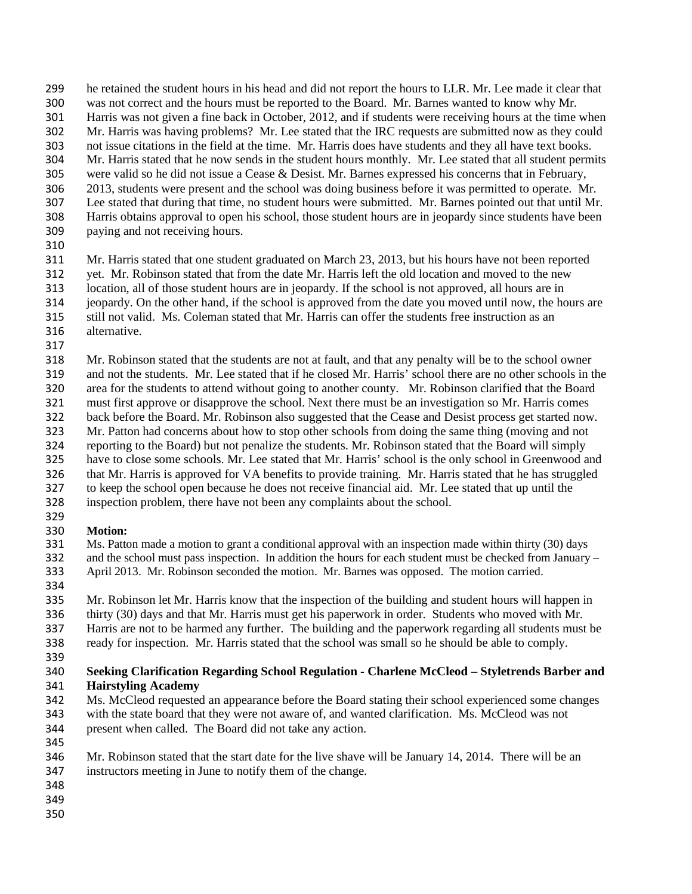- he retained the student hours in his head and did not report the hours to LLR. Mr. Lee made it clear that
- was not correct and the hours must be reported to the Board. Mr. Barnes wanted to know why Mr.
- Harris was not given a fine back in October, 2012, and if students were receiving hours at the time when
- Mr. Harris was having problems? Mr. Lee stated that the IRC requests are submitted now as they could not issue citations in the field at the time. Mr. Harris does have students and they all have text books.
- Mr. Harris stated that he now sends in the student hours monthly. Mr. Lee stated that all student permits
- were valid so he did not issue a Cease & Desist. Mr. Barnes expressed his concerns that in February,
- 2013, students were present and the school was doing business before it was permitted to operate. Mr.
- Lee stated that during that time, no student hours were submitted. Mr. Barnes pointed out that until Mr.
- Harris obtains approval to open his school, those student hours are in jeopardy since students have been paying and not receiving hours.
- 
- Mr. Harris stated that one student graduated on March 23, 2013, but his hours have not been reported
- yet. Mr. Robinson stated that from the date Mr. Harris left the old location and moved to the new location, all of those student hours are in jeopardy. If the school is not approved, all hours are in
- jeopardy. On the other hand, if the school is approved from the date you moved until now, the hours are
- still not valid. Ms. Coleman stated that Mr. Harris can offer the students free instruction as an
- alternative.
- 

 Mr. Robinson stated that the students are not at fault, and that any penalty will be to the school owner and not the students. Mr. Lee stated that if he closed Mr. Harris' school there are no other schools in the area for the students to attend without going to another county. Mr. Robinson clarified that the Board must first approve or disapprove the school. Next there must be an investigation so Mr. Harris comes back before the Board. Mr. Robinson also suggested that the Cease and Desist process get started now. Mr. Patton had concerns about how to stop other schools from doing the same thing (moving and not reporting to the Board) but not penalize the students. Mr. Robinson stated that the Board will simply have to close some schools. Mr. Lee stated that Mr. Harris' school is the only school in Greenwood and that Mr. Harris is approved for VA benefits to provide training. Mr. Harris stated that he has struggled

 to keep the school open because he does not receive financial aid. Mr. Lee stated that up until the inspection problem, there have not been any complaints about the school.

#### **Motion:**

- 331 Ms. Patton made a motion to grant a conditional approval with an inspection made within thirty (30) days<br>332 and the school must pass inspection. In addition the hours for each student must be checked from January and the school must pass inspection. In addition the hours for each student must be checked from January  $-$ April 2013. Mr. Robinson seconded the motion. Mr. Barnes was opposed. The motion carried.
- 

 Mr. Robinson let Mr. Harris know that the inspection of the building and student hours will happen in thirty (30) days and that Mr. Harris must get his paperwork in order. Students who moved with Mr.

- Harris are not to be harmed any further. The building and the paperwork regarding all students must be ready for inspection. Mr. Harris stated that the school was small so he should be able to comply.
- 

# **Seeking Clarification Regarding School Regulation - Charlene McCleod – Styletrends Barber and Hairstyling Academy**

- Ms. McCleod requested an appearance before the Board stating their school experienced some changes with the state board that they were not aware of, and wanted clarification. Ms. McCleod was not
- present when called. The Board did not take any action.
- Mr. Robinson stated that the start date for the live shave will be January 14, 2014. There will be an instructors meeting in June to notify them of the change.
- 
- 
-